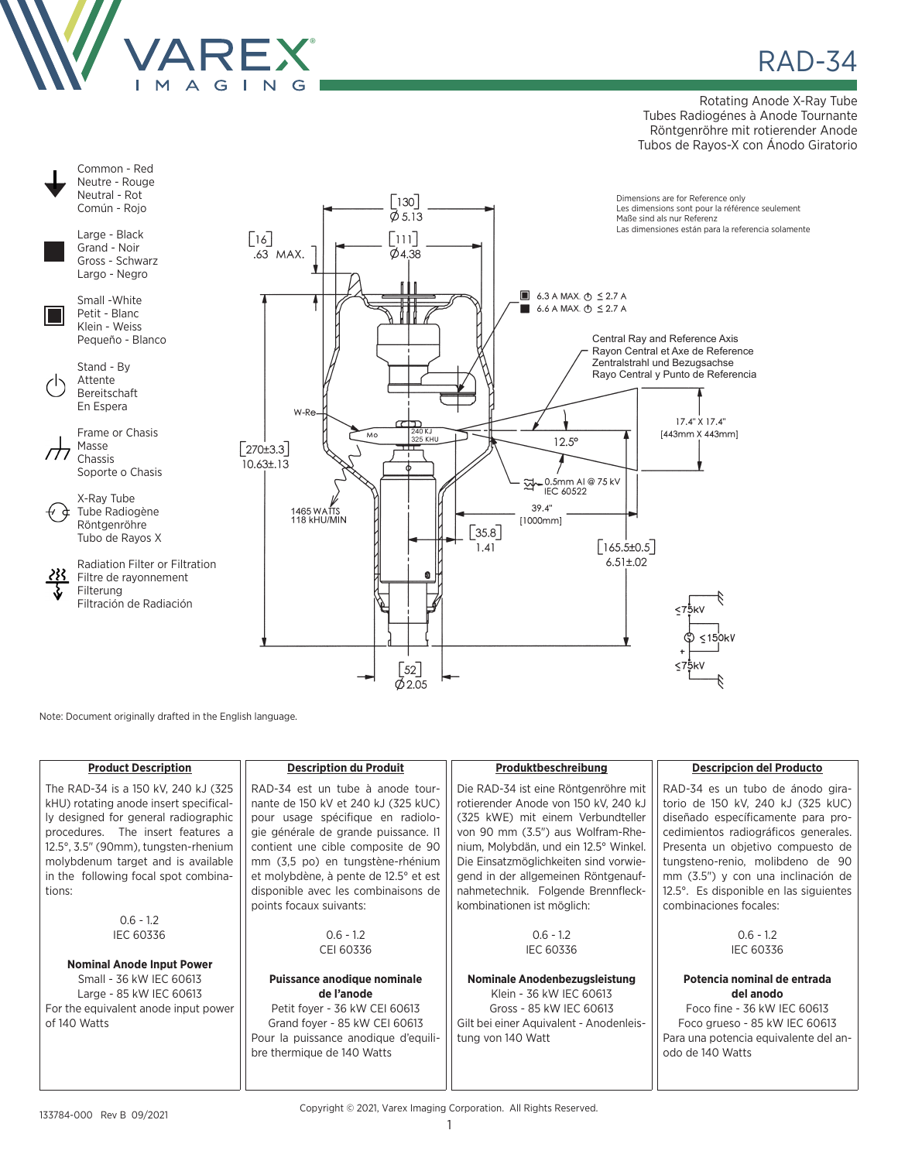

## **RAD-34**

Rotating Anode X-Ray Tube Tubes Radiogénes à Anode Tournante Röntgenröhre mit rotierender Anode Tubos de Rayos-X con Ánodo Giratorio



Note: Document originally drafted in the English language.

| <b>Product Description</b>             | <b>Description du Produit</b>         | Produktbeschreibung                     | <b>Descripcion del Producto</b>        |
|----------------------------------------|---------------------------------------|-----------------------------------------|----------------------------------------|
| The RAD-34 is a 150 kV, 240 kJ (325)   | RAD-34 est un tube à anode tour-      | Die RAD-34 ist eine Röntgenröhre mit    | RAD-34 es un tubo de ánodo gira-       |
| kHU) rotating anode insert specifical- | nante de 150 kV et 240 kJ (325 kUC)   | rotierender Anode von 150 kV, 240 kJ    | torio de 150 kV, 240 kJ (325 kUC)      |
| ly designed for general radiographic   | pour usage spécifique en radiolo-     | (325 kWE) mit einem Verbundteller       | diseñado específicamente para pro-     |
| procedures. The insert features a      | gie générale de grande puissance. Il  | von 90 mm (3.5") aus Wolfram-Rhe-       | cedimientos radiográficos generales.   |
| 12.5°, 3.5" (90mm), tungsten-rhenium   | contient une cible composite de 90    | nium, Molybdän, und ein 12.5° Winkel.   | Presenta un objetivo compuesto de      |
| molybdenum target and is available     | mm (3,5 po) en tungstène-rhénium      | Die Einsatzmöglichkeiten sind vorwie-   | tungsteno-renio, molibdeno de 90       |
| in the following focal spot combina-   | et molybdène, à pente de 12.5° et est | gend in der allgemeinen Röntgenauf-     | mm (3.5") y con una inclinación de     |
| tions:                                 | disponible avec les combinaisons de   | nahmetechnik. Folgende Brennfleck-      | 12.5°. Es disponible en las siguientes |
|                                        | points focaux suivants:               | kombinationen ist möglich:              | combinaciones focales:                 |
| $0.6 - 1.2$                            |                                       |                                         |                                        |
| <b>IEC 60336</b>                       | $0.6 - 1.2$                           | $0.6 - 1.2$                             | $0.6 - 1.2$                            |
|                                        | CEI 60336                             | <b>IEC 60336</b>                        | <b>IEC 60336</b>                       |
| <b>Nominal Anode Input Power</b>       |                                       |                                         |                                        |
| Small - 36 kW IEC 60613                | Puissance anodique nominale           | Nominale Anodenbezugsleistung           | Potencia nominal de entrada            |
| Large - 85 kW IEC 60613                | de l'anode                            | Klein - 36 kW IEC 60613                 | del anodo                              |
| For the equivalent anode input power   | Petit foyer - 36 kW CEI 60613         | Gross - 85 kW IEC 60613                 | Foco fine - 36 kW IEC 60613            |
| of 140 Watts                           | Grand foyer - 85 kW CEI 60613         | Gilt bei einer Aquivalent - Anodenleis- | Foco grueso - 85 kW IEC 60613          |
|                                        | Pour la puissance anodique d'equili-  | tung von 140 Watt                       | Para una potencia equivalente del an-  |
|                                        | bre thermique de 140 Watts            |                                         | odo de 140 Watts                       |
|                                        |                                       |                                         |                                        |
|                                        |                                       |                                         |                                        |

Copyright © 2021, Varex Imaging Corporation. All Rights Reserved.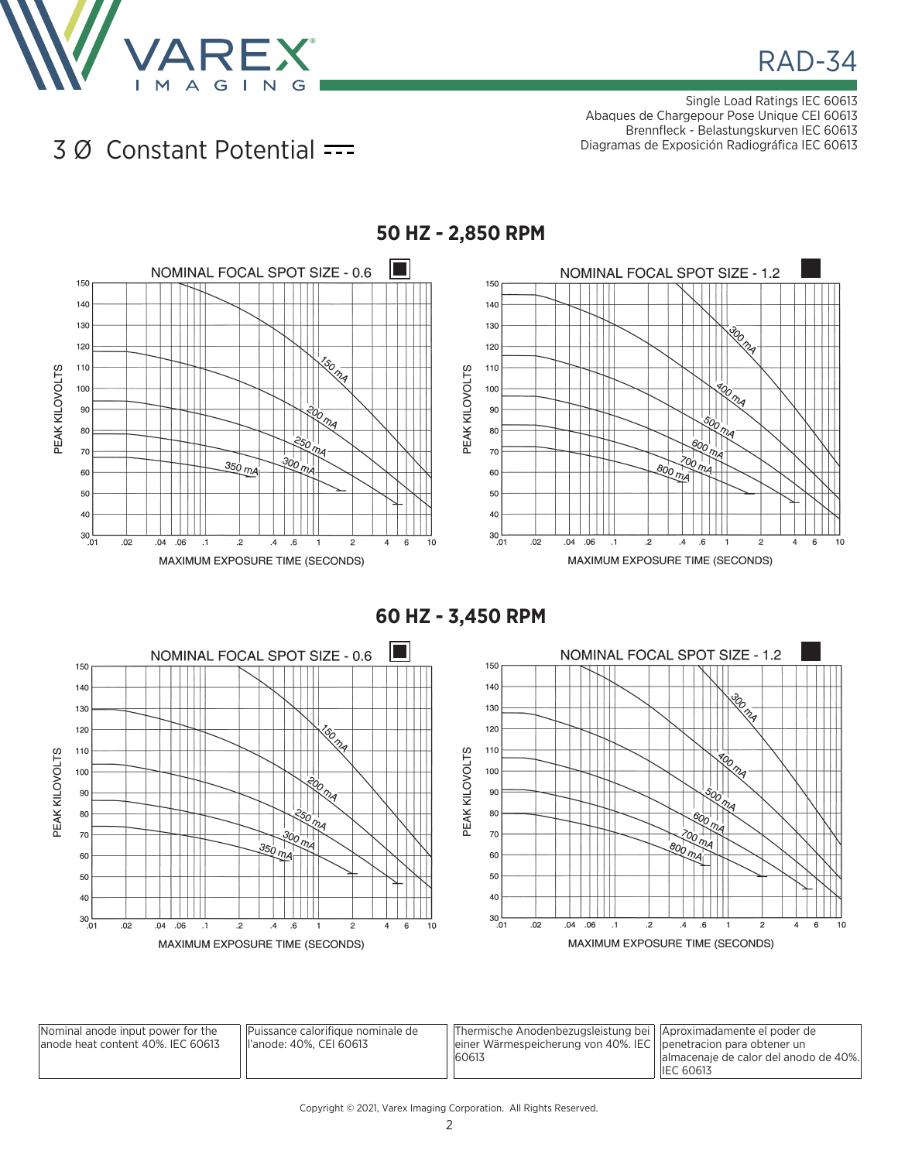

Single Load Ratings IEC 60613 Abaques de Chargepour Pose Unique CEI 60613 Brennfleck - Belastungskurven IEC 60613 Diagramas de Exposición Radiográfica IEC 60613

## 3 Ø Constant Potential



**60 HZ - 3,450 RPM**



| Nominal anode input power for the<br>lanode heat content 40%. IEC 60613 | Puissance calorifique nominale de<br>ll'anode: 40%. CEI 60613 | Thermische Anodenbezugsleistung bei   Aproximadamente el poder de<br>einer Wärmespeicherung von 40%. IEC    penetracion para obtener un<br>60613 | lalmacenaie de calor del anodo de 40%.<br><b>IEC 60613</b> |
|-------------------------------------------------------------------------|---------------------------------------------------------------|--------------------------------------------------------------------------------------------------------------------------------------------------|------------------------------------------------------------|
|-------------------------------------------------------------------------|---------------------------------------------------------------|--------------------------------------------------------------------------------------------------------------------------------------------------|------------------------------------------------------------|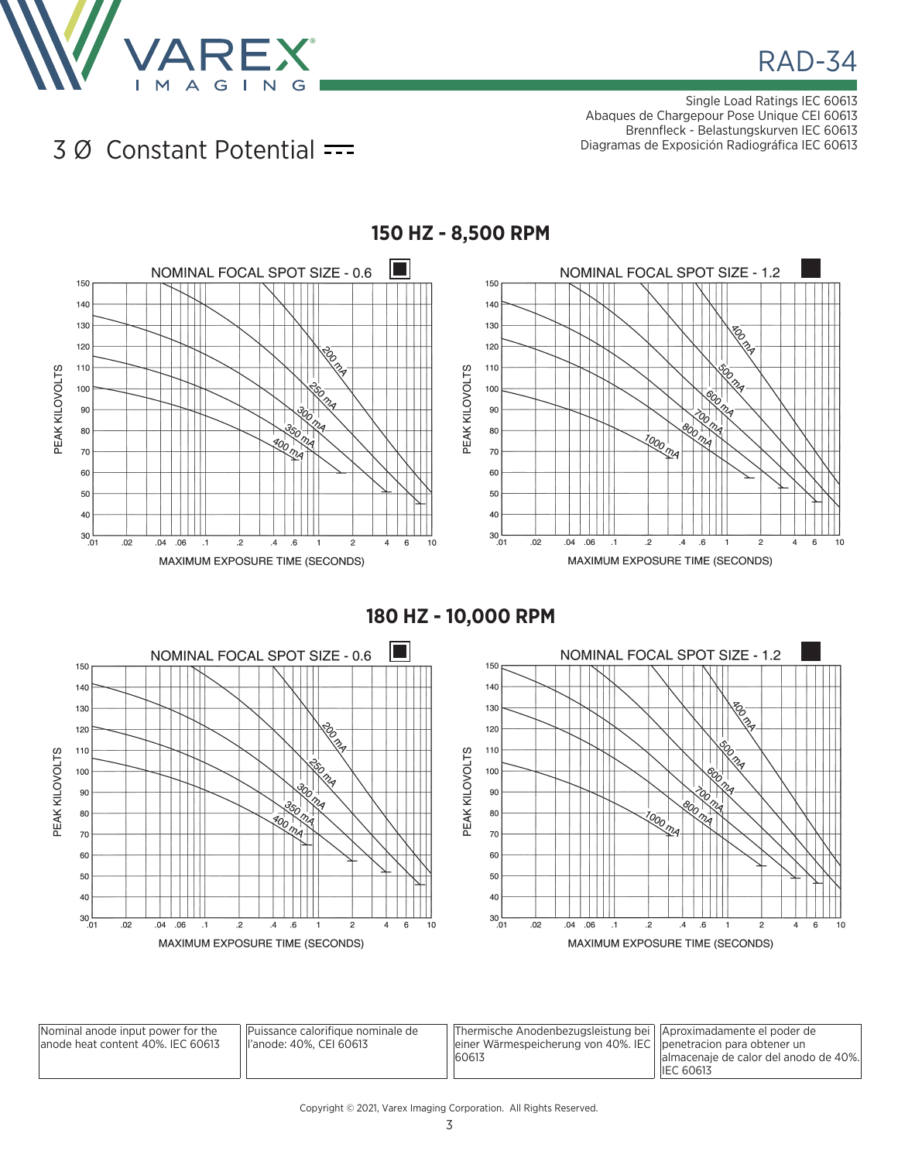

Single Load Ratings IEC 60613 Abaques de Chargepour Pose Unique CEI 60613 Brennfleck - Belastungskurven IEC 60613 Diagramas de Exposición Radiográfica IEC 60613

3 Ø Constant Potential



**180 HZ - 10,000 RPM**



| Nominal anode input power for the  | Puissance calorifique nominale de | Thermische Anodenbezugsleistung bei   Aproximadamente el poder de |                                       |
|------------------------------------|-----------------------------------|-------------------------------------------------------------------|---------------------------------------|
| lanode heat content 40%. IEC 60613 | ll'anode: 40%. CEI 60613          | einer Wärmespeicherung von 40%. IEC   penetracion para obtener un |                                       |
|                                    |                                   | 60613                                                             | almacenaje de calor del anodo de 40%. |
|                                    |                                   |                                                                   | <b>IEC 60613</b>                      |

## Copyright © 2021, Varex Imaging Corporation. All Rights Reserved.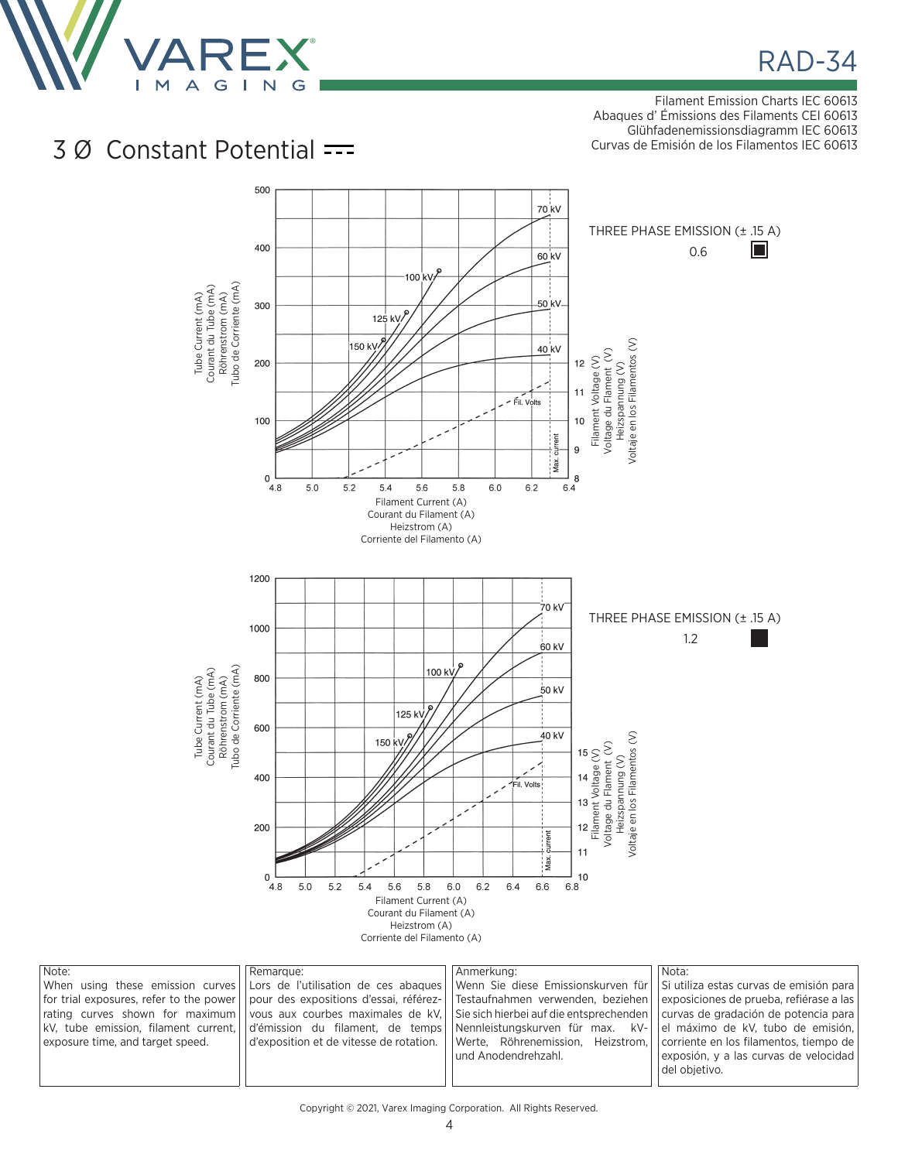

**RAD-34** 

Filament Emission Charts IEC 60613 Abaques d' Émissions des Filaments CEI 60613 Glühfadenemissionsdiagramm IEC 60613 Curvas de Emisión de los Filamentos IEC 60613

## 3 Ø Constant Potential



| Note:                            | Remarque: | Anmerkung:                                                                                                                                        | Nota:                                   |
|----------------------------------|-----------|---------------------------------------------------------------------------------------------------------------------------------------------------|-----------------------------------------|
|                                  |           | When using these emission curves Lors de l'utilisation de ces abagues Uwenn Sie diese Emissionskurven für US utiliza estas curvas de emisión para |                                         |
|                                  |           | for trial exposures, refer to the power   pour des expositions d'essai, référez-   Testaufnahmen verwenden, beziehen                              | exposiciones de prueba, refiérase a las |
|                                  |           | rating curves shown for maximum vous aux courbes maximales de kV. Sie sich hierbei auf die entsprechenden curvas de gradación de potencia para    |                                         |
|                                  |           | kV, tube emission, filament current, d'emission du filament, de temps Nennleistungskurven für max. kV- de maximo de kV, tubo de emisión,          |                                         |
| exposure time, and target speed. |           | d'exposition et de vitesse de rotation.   Werte, Röhrenemission, Heizstrom,   corriente en los filamentos, tiempo de                              |                                         |
|                                  |           | und Anodendrehzahl.                                                                                                                               | exposión, y a las curvas de velocidad   |
|                                  |           |                                                                                                                                                   | del obietivo.                           |
|                                  |           |                                                                                                                                                   |                                         |

Copyright © 2021, Varex Imaging Corporation. All Rights Reserved.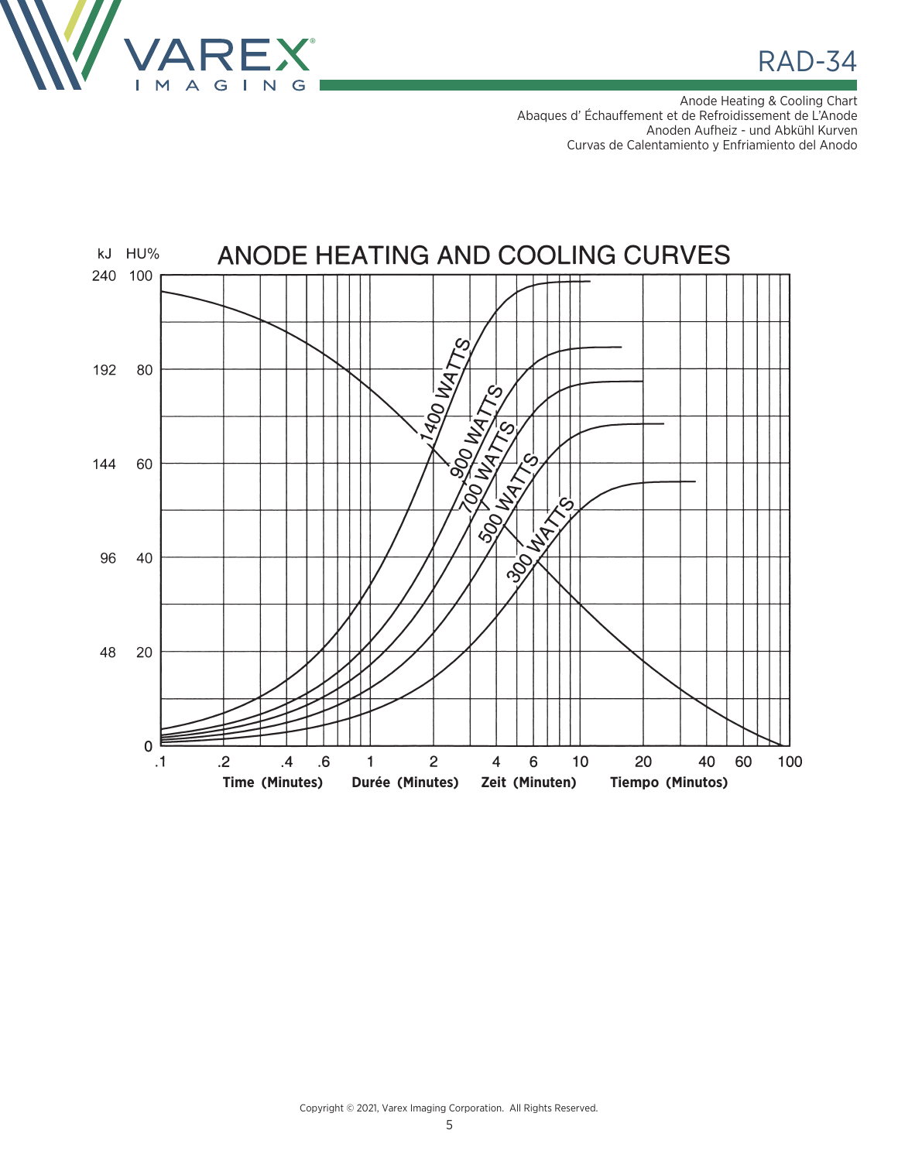

**RAD-34** 

Anode Heating & Cooling Chart Abaques d' Échauffement et de Refroidissement de L'Anode Anoden Aufheiz - und Abkühl Kurven Curvas de Calentamiento y Enfriamiento del Anodo